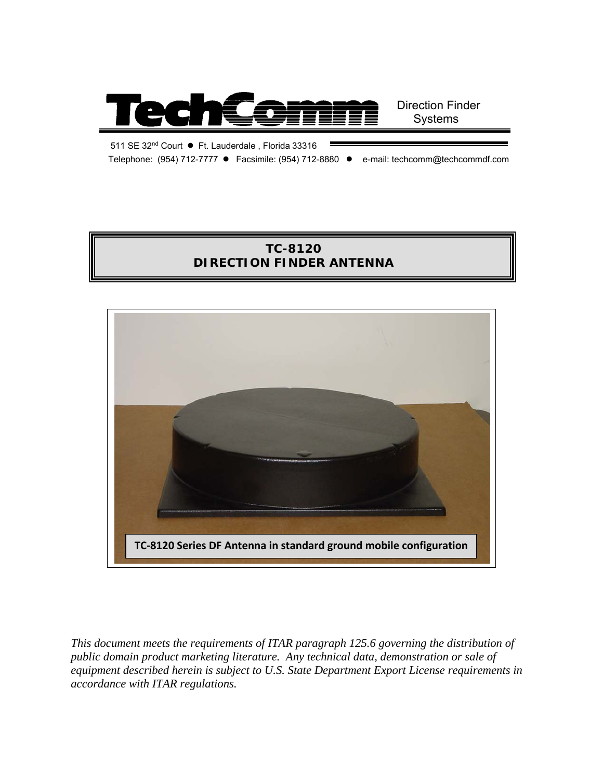

511 SE 32nd Court ● Ft. Lauderdale , Florida 33316 Telephone: (954) 712-7777 ● Facsimile: (954) 712-8880 ● e-mail: techcomm@techcommdf.com

# **TC-8120 DIRECTION FINDER ANTENNA**



*This document meets the requirements of ITAR paragraph 125.6 governing the distribution of public domain product marketing literature. Any technical data, demonstration or sale of equipment described herein is subject to U.S. State Department Export License requirements in accordance with ITAR regulations.*